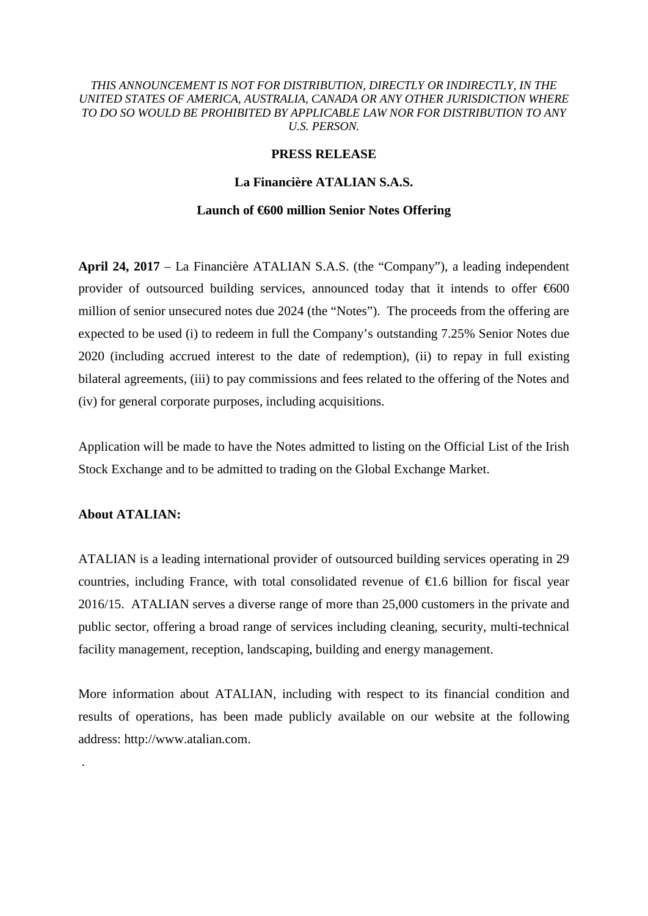## *THIS ANNOUNCEMENT IS NOT FOR DISTRIBUTION, DIRECTLY OR INDIRECTLY, IN THE UNITED STATES OF AMERICA, AUSTRALIA, CANADA OR ANY OTHER JURISDICTION WHERE TO DO SO WOULD BE PROHIBITED BY APPLICABLE LAW NOR FOR DISTRIBUTION TO ANY U.S. PERSON.*

## **PRESS RELEASE**

# **La Financière ATALIAN S.A.S.**

#### **Launch of €600 million Senior Notes Offering**

**April 24, 2017** – La Financière ATALIAN S.A.S. (the "Company"), a leading independent provider of outsourced building services, announced today that it intends to offer  $600$ million of senior unsecured notes due 2024 (the "Notes"). The proceeds from the offering are expected to be used (i) to redeem in full the Company's outstanding 7.25% Senior Notes due 2020 (including accrued interest to the date of redemption), (ii) to repay in full existing bilateral agreements, (iii) to pay commissions and fees related to the offering of the Notes and (iv) for general corporate purposes, including acquisitions.

Application will be made to have the Notes admitted to listing on the Official List of the Irish Stock Exchange and to be admitted to trading on the Global Exchange Market.

## **About ATALIAN:**

.

ATALIAN is a leading international provider of outsourced building services operating in 29 countries, including France, with total consolidated revenue of  $\epsilon$ 1.6 billion for fiscal year 2016/15. ATALIAN serves a diverse range of more than 25,000 customers in the private and public sector, offering a broad range of services including cleaning, security, multi-technical facility management, reception, landscaping, building and energy management.

More information about ATALIAN, including with respect to its financial condition and results of operations, has been made publicly available on our website at the following address: http://www.atalian.com.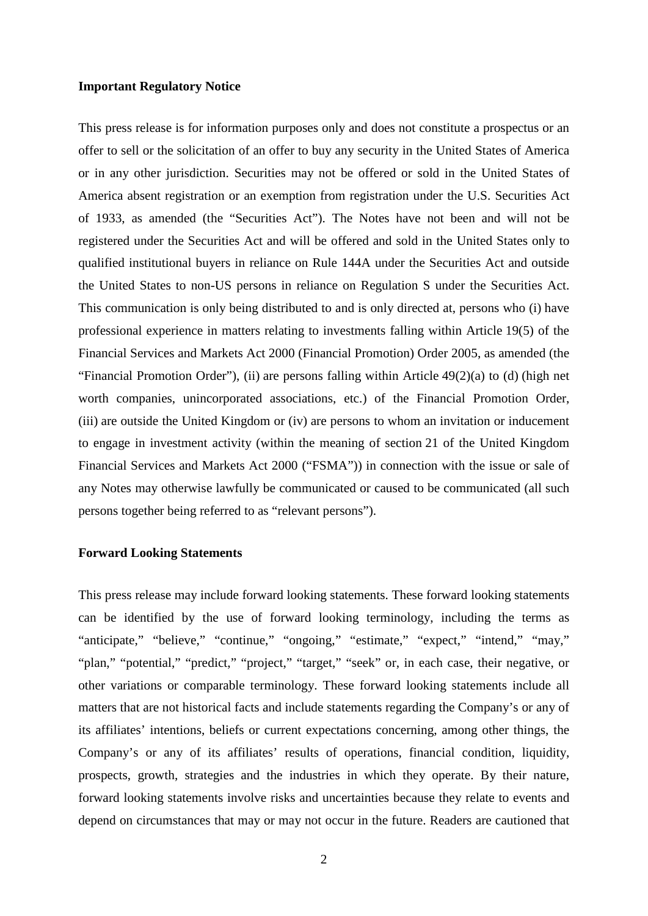#### **Important Regulatory Notice**

This press release is for information purposes only and does not constitute a prospectus or an offer to sell or the solicitation of an offer to buy any security in the United States of America or in any other jurisdiction. Securities may not be offered or sold in the United States of America absent registration or an exemption from registration under the U.S. Securities Act of 1933, as amended (the "Securities Act"). The Notes have not been and will not be registered under the Securities Act and will be offered and sold in the United States only to qualified institutional buyers in reliance on Rule 144A under the Securities Act and outside the United States to non-US persons in reliance on Regulation S under the Securities Act. This communication is only being distributed to and is only directed at, persons who (i) have professional experience in matters relating to investments falling within Article 19(5) of the Financial Services and Markets Act 2000 (Financial Promotion) Order 2005, as amended (the "Financial Promotion Order"), (ii) are persons falling within Article  $49(2)(a)$  to (d) (high net worth companies, unincorporated associations, etc.) of the Financial Promotion Order, (iii) are outside the United Kingdom or (iv) are persons to whom an invitation or inducement to engage in investment activity (within the meaning of section 21 of the United Kingdom Financial Services and Markets Act 2000 ("FSMA")) in connection with the issue or sale of any Notes may otherwise lawfully be communicated or caused to be communicated (all such persons together being referred to as "relevant persons").

## **Forward Looking Statements**

This press release may include forward looking statements. These forward looking statements can be identified by the use of forward looking terminology, including the terms as "anticipate," "believe," "continue," "ongoing," "estimate," "expect," "intend," "may," "plan," "potential," "predict," "project," "target," "seek" or, in each case, their negative, or other variations or comparable terminology. These forward looking statements include all matters that are not historical facts and include statements regarding the Company's or any of its affiliates' intentions, beliefs or current expectations concerning, among other things, the Company's or any of its affiliates' results of operations, financial condition, liquidity, prospects, growth, strategies and the industries in which they operate. By their nature, forward looking statements involve risks and uncertainties because they relate to events and depend on circumstances that may or may not occur in the future. Readers are cautioned that